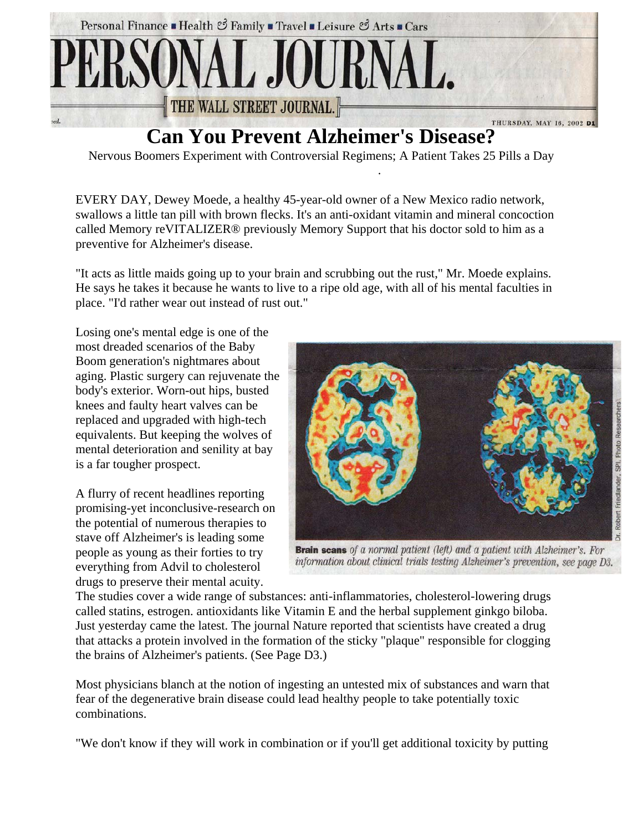

## **Can You Prevent Alzheimer's Disease?**

Nervous Boomers Experiment with Controversial Regimens; A Patient Takes 25 Pills a Day

.

EVERY DAY, Dewey Moede, a healthy 45-year-old owner of a New Mexico radio network, swallows a little tan pill with brown flecks. It's an anti-oxidant vitamin and mineral concoction called Memory reVITALIZER® previously Memory Support that his doctor sold to him as a preventive for Alzheimer's disease.

"It acts as little maids going up to your brain and scrubbing out the rust," Mr. Moede explains. He says he takes it because he wants to live to a ripe old age, with all of his mental faculties in place. "I'd rather wear out instead of rust out."

Losing one's mental edge is one of the most dreaded scenarios of the Baby Boom generation's nightmares about aging. Plastic surgery can rejuvenate the body's exterior. Worn-out hips, busted knees and faulty heart valves can be replaced and upgraded with high-tech equivalents. But keeping the wolves of mental deterioration and senility at bay is a far tougher prospect.

A flurry of recent headlines reporting promising-yet inconclusive-research on the potential of numerous therapies to stave off Alzheimer's is leading some people as young as their forties to try everything from Advil to cholesterol drugs to preserve their mental acuity.



**Brain scans** of a normal patient (left) and a patient with Alzheimer's. For information about clinical trials testing Alzheimer's prevention, see page D3.

The studies cover a wide range of substances: anti-inflammatories, cholesterol-lowering drugs called statins, estrogen. antioxidants like Vitamin E and the herbal supplement ginkgo biloba. Just yesterday came the latest. The journal Nature reported that scientists have created a drug that attacks a protein involved in the formation of the sticky "plaque" responsible for clogging the brains of Alzheimer's patients. (See Page D3.)

Most physicians blanch at the notion of ingesting an untested mix of substances and warn that fear of the degenerative brain disease could lead healthy people to take potentially toxic combinations.

"We don't know if they will work in combination or if you'll get additional toxicity by putting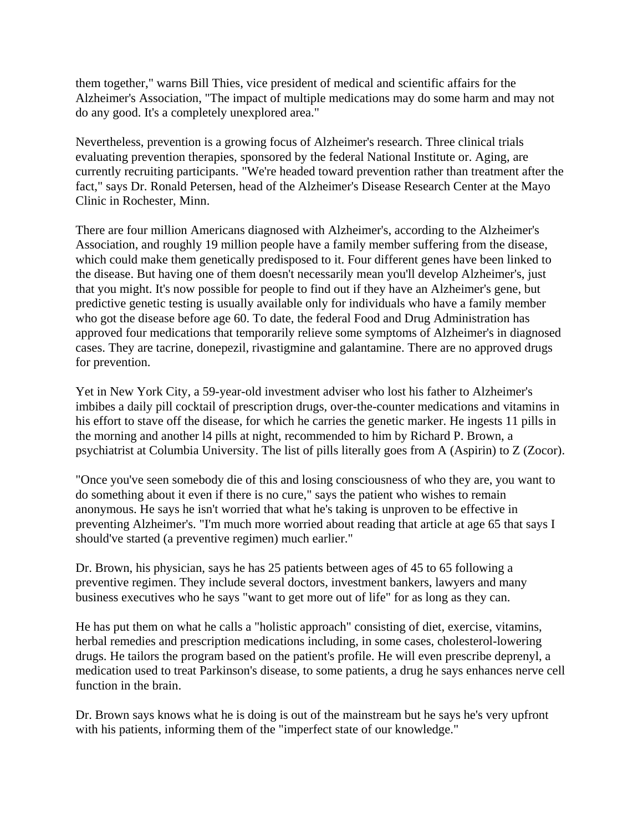them together," warns Bill Thies, vice president of medical and scientific affairs for the Alzheimer's Association, "The impact of multiple medications may do some harm and may not do any good. It's a completely unexplored area."

Nevertheless, prevention is a growing focus of Alzheimer's research. Three clinical trials evaluating prevention therapies, sponsored by the federal National Institute or. Aging, are currently recruiting participants. "We're headed toward prevention rather than treatment after the fact," says Dr. Ronald Petersen, head of the Alzheimer's Disease Research Center at the Mayo Clinic in Rochester, Minn.

There are four million Americans diagnosed with Alzheimer's, according to the Alzheimer's Association, and roughly 19 million people have a family member suffering from the disease, which could make them genetically predisposed to it. Four different genes have been linked to the disease. But having one of them doesn't necessarily mean you'll develop Alzheimer's, just that you might. It's now possible for people to find out if they have an Alzheimer's gene, but predictive genetic testing is usually available only for individuals who have a family member who got the disease before age 60. To date, the federal Food and Drug Administration has approved four medications that temporarily relieve some symptoms of Alzheimer's in diagnosed cases. They are tacrine, donepezil, rivastigmine and galantamine. There are no approved drugs for prevention.

Yet in New York City, a 59-year-old investment adviser who lost his father to Alzheimer's imbibes a daily pill cocktail of prescription drugs, over-the-counter medications and vitamins in his effort to stave off the disease, for which he carries the genetic marker. He ingests 11 pills in the morning and another l4 pills at night, recommended to him by Richard P. Brown, a psychiatrist at Columbia University. The list of pills literally goes from A (Aspirin) to Z (Zocor).

"Once you've seen somebody die of this and losing consciousness of who they are, you want to do something about it even if there is no cure," says the patient who wishes to remain anonymous. He says he isn't worried that what he's taking is unproven to be effective in preventing Alzheimer's. "I'm much more worried about reading that article at age 65 that says I should've started (a preventive regimen) much earlier."

Dr. Brown, his physician, says he has 25 patients between ages of 45 to 65 following a preventive regimen. They include several doctors, investment bankers, lawyers and many business executives who he says "want to get more out of life" for as long as they can.

He has put them on what he calls a "holistic approach" consisting of diet, exercise, vitamins, herbal remedies and prescription medications including, in some cases, cholesterol-lowering drugs. He tailors the program based on the patient's profile. He will even prescribe deprenyl, a medication used to treat Parkinson's disease, to some patients, a drug he says enhances nerve cell function in the brain.

Dr. Brown says knows what he is doing is out of the mainstream but he says he's very upfront with his patients, informing them of the "imperfect state of our knowledge."